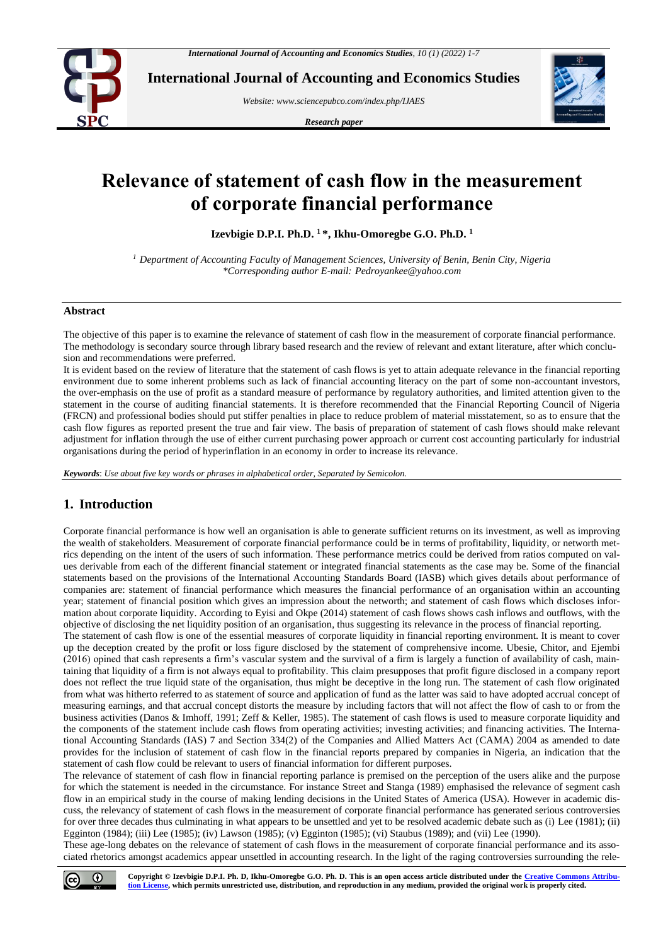

**International Journal of Accounting and Economics Studies**

*Website[: www.sciencepubco.com/index.php/IJAES](http://www.sciencepubco.com/index.php/IJAES)*

*Research paper*



# **Relevance of statement of cash flow in the measurement of corporate financial performance**

**Izevbigie D.P.I. Ph.D. <sup>1</sup> \*, Ikhu-Omoregbe G.O. Ph.D. 1**

*<sup>1</sup> Department of Accounting Faculty of Management Sciences, University of Benin, Benin City, Nigeria \*Corresponding author E-mail: Pedroyankee@yahoo.com*

## **Abstract**

The objective of this paper is to examine the relevance of statement of cash flow in the measurement of corporate financial performance. The methodology is secondary source through library based research and the review of relevant and extant literature, after which conclusion and recommendations were preferred.

It is evident based on the review of literature that the statement of cash flows is yet to attain adequate relevance in the financial reporting environment due to some inherent problems such as lack of financial accounting literacy on the part of some non-accountant investors, the over-emphasis on the use of profit as a standard measure of performance by regulatory authorities, and limited attention given to the statement in the course of auditing financial statements. It is therefore recommended that the Financial Reporting Council of Nigeria (FRCN) and professional bodies should put stiffer penalties in place to reduce problem of material misstatement, so as to ensure that the cash flow figures as reported present the true and fair view. The basis of preparation of statement of cash flows should make relevant adjustment for inflation through the use of either current purchasing power approach or current cost accounting particularly for industrial organisations during the period of hyperinflation in an economy in order to increase its relevance.

*Keywords*: *Use about five key words or phrases in alphabetical order, Separated by Semicolon.*

# **1. Introduction**

Corporate financial performance is how well an organisation is able to generate sufficient returns on its investment, as well as improving the wealth of stakeholders. Measurement of corporate financial performance could be in terms of profitability, liquidity, or networth metrics depending on the intent of the users of such information. These performance metrics could be derived from ratios computed on values derivable from each of the different financial statement or integrated financial statements as the case may be. Some of the financial statements based on the provisions of the International Accounting Standards Board (IASB) which gives details about performance of companies are: statement of financial performance which measures the financial performance of an organisation within an accounting year; statement of financial position which gives an impression about the networth; and statement of cash flows which discloses information about corporate liquidity. According to Eyisi and Okpe (2014) statement of cash flows shows cash inflows and outflows, with the objective of disclosing the net liquidity position of an organisation, thus suggesting its relevance in the process of financial reporting.

The statement of cash flow is one of the essential measures of corporate liquidity in financial reporting environment. It is meant to cover up the deception created by the profit or loss figure disclosed by the statement of comprehensive income. Ubesie, Chitor, and Ejembi (2016) opined that cash represents a firm's vascular system and the survival of a firm is largely a function of availability of cash, maintaining that liquidity of a firm is not always equal to profitability. This claim presupposes that profit figure disclosed in a company report does not reflect the true liquid state of the organisation, thus might be deceptive in the long run. The statement of cash flow originated from what was hitherto referred to as statement of source and application of fund as the latter was said to have adopted accrual concept of measuring earnings, and that accrual concept distorts the measure by including factors that will not affect the flow of cash to or from the business activities (Danos & Imhoff, 1991; Zeff & Keller, 1985). The statement of cash flows is used to measure corporate liquidity and the components of the statement include cash flows from operating activities; investing activities; and financing activities. The International Accounting Standards (IAS) 7 and Section 334(2) of the Companies and Allied Matters Act (CAMA) 2004 as amended to date provides for the inclusion of statement of cash flow in the financial reports prepared by companies in Nigeria, an indication that the statement of cash flow could be relevant to users of financial information for different purposes.

The relevance of statement of cash flow in financial reporting parlance is premised on the perception of the users alike and the purpose for which the statement is needed in the circumstance. For instance Street and Stanga (1989) emphasised the relevance of segment cash flow in an empirical study in the course of making lending decisions in the United States of America (USA). However in academic discuss, the relevancy of statement of cash flows in the measurement of corporate financial performance has generated serious controversies for over three decades thus culminating in what appears to be unsettled and yet to be resolved academic debate such as (i) Lee (1981); (ii) Egginton (1984); (iii) Lee (1985); (iv) Lawson (1985); (v) Egginton (1985); (vi) Staubus (1989); and (vii) Lee (1990).

These age-long debates on the relevance of statement of cash flows in the measurement of corporate financial performance and its associated rhetorics amongst academics appear unsettled in accounting research. In the light of the raging controversies surrounding the rele-

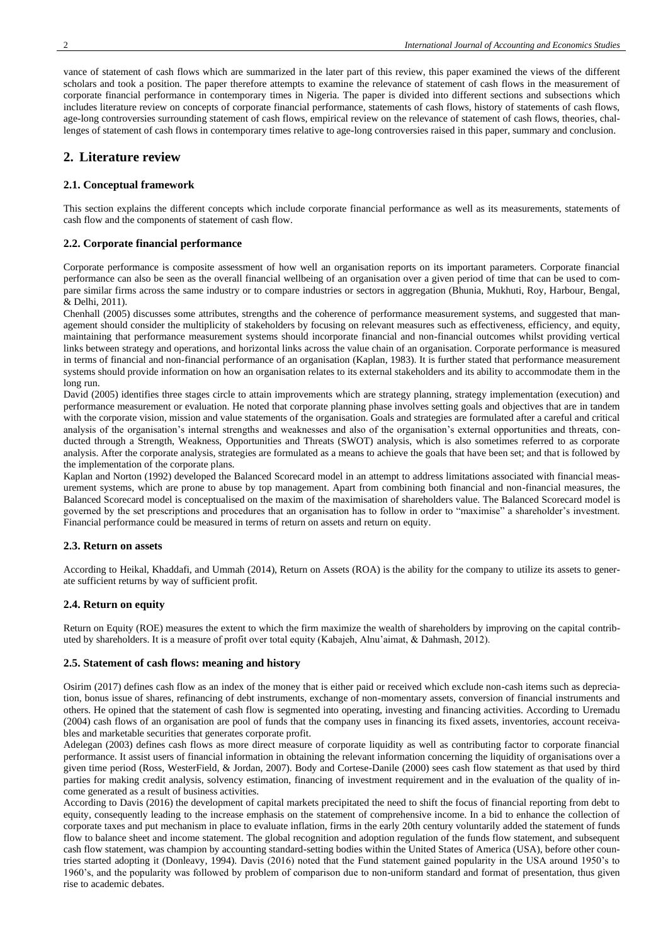vance of statement of cash flows which are summarized in the later part of this review, this paper examined the views of the different scholars and took a position. The paper therefore attempts to examine the relevance of statement of cash flows in the measurement of corporate financial performance in contemporary times in Nigeria. The paper is divided into different sections and subsections which includes literature review on concepts of corporate financial performance, statements of cash flows, history of statements of cash flows, age-long controversies surrounding statement of cash flows, empirical review on the relevance of statement of cash flows, theories, challenges of statement of cash flows in contemporary times relative to age-long controversies raised in this paper, summary and conclusion.

## **2. Literature review**

#### **2.1. Conceptual framework**

This section explains the different concepts which include corporate financial performance as well as its measurements, statements of cash flow and the components of statement of cash flow.

#### **2.2. Corporate financial performance**

Corporate performance is composite assessment of how well an organisation reports on its important parameters. Corporate financial performance can also be seen as the overall financial wellbeing of an organisation over a given period of time that can be used to compare similar firms across the same industry or to compare industries or sectors in aggregation (Bhunia, Mukhuti, Roy, Harbour, Bengal, & Delhi, 2011).

Chenhall (2005) discusses some attributes, strengths and the coherence of performance measurement systems, and suggested that management should consider the multiplicity of stakeholders by focusing on relevant measures such as effectiveness, efficiency, and equity, maintaining that performance measurement systems should incorporate financial and non-financial outcomes whilst providing vertical links between strategy and operations, and horizontal links across the value chain of an organisation. Corporate performance is measured in terms of financial and non-financial performance of an organisation (Kaplan, 1983). It is further stated that performance measurement systems should provide information on how an organisation relates to its external stakeholders and its ability to accommodate them in the long run.

David (2005) identifies three stages circle to attain improvements which are strategy planning, strategy implementation (execution) and performance measurement or evaluation. He noted that corporate planning phase involves setting goals and objectives that are in tandem with the corporate vision, mission and value statements of the organisation. Goals and strategies are formulated after a careful and critical analysis of the organisation's internal strengths and weaknesses and also of the organisation's external opportunities and threats, conducted through a Strength, Weakness, Opportunities and Threats (SWOT) analysis, which is also sometimes referred to as corporate analysis. After the corporate analysis, strategies are formulated as a means to achieve the goals that have been set; and that is followed by the implementation of the corporate plans.

Kaplan and Norton (1992) developed the Balanced Scorecard model in an attempt to address limitations associated with financial measurement systems, which are prone to abuse by top management. Apart from combining both financial and non-financial measures, the Balanced Scorecard model is conceptualised on the maxim of the maximisation of shareholders value. The Balanced Scorecard model is governed by the set prescriptions and procedures that an organisation has to follow in order to "maximise" a shareholder's investment. Financial performance could be measured in terms of return on assets and return on equity.

#### **2.3. Return on assets**

According to Heikal, Khaddafi, and Ummah (2014), Return on Assets (ROA) is the ability for the company to utilize its assets to generate sufficient returns by way of sufficient profit.

#### **2.4. Return on equity**

Return on Equity (ROE) measures the extent to which the firm maximize the wealth of shareholders by improving on the capital contributed by shareholders. It is a measure of profit over total equity (Kabajeh, Alnu'aimat, & Dahmash, 2012).

#### **2.5. Statement of cash flows: meaning and history**

Osirim (2017) defines cash flow as an index of the money that is either paid or received which exclude non-cash items such as depreciation, bonus issue of shares, refinancing of debt instruments, exchange of non-momentary assets, conversion of financial instruments and others. He opined that the statement of cash flow is segmented into operating, investing and financing activities. According to Uremadu (2004) cash flows of an organisation are pool of funds that the company uses in financing its fixed assets, inventories, account receivables and marketable securities that generates corporate profit.

Adelegan (2003) defines cash flows as more direct measure of corporate liquidity as well as contributing factor to corporate financial performance. It assist users of financial information in obtaining the relevant information concerning the liquidity of organisations over a given time period (Ross, WesterField, & Jordan, 2007). Body and Cortese-Danile (2000) sees cash flow statement as that used by third parties for making credit analysis, solvency estimation, financing of investment requirement and in the evaluation of the quality of income generated as a result of business activities.

According to Davis (2016) the development of capital markets precipitated the need to shift the focus of financial reporting from debt to equity, consequently leading to the increase emphasis on the statement of comprehensive income. In a bid to enhance the collection of corporate taxes and put mechanism in place to evaluate inflation, firms in the early 20th century voluntarily added the statement of funds flow to balance sheet and income statement. The global recognition and adoption regulation of the funds flow statement, and subsequent cash flow statement, was champion by accounting standard-setting bodies within the United States of America (USA), before other countries started adopting it (Donleavy, 1994). Davis (2016) noted that the Fund statement gained popularity in the USA around 1950's to 1960's, and the popularity was followed by problem of comparison due to non-uniform standard and format of presentation, thus given rise to academic debates.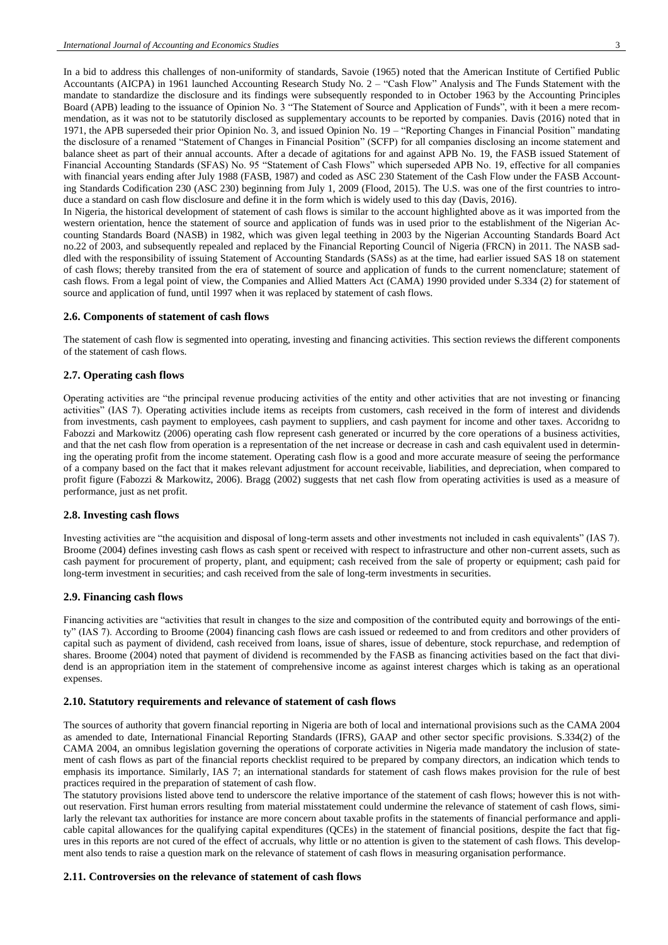In a bid to address this challenges of non-uniformity of standards, Savoie (1965) noted that the American Institute of Certified Public Accountants (AICPA) in 1961 launched Accounting Research Study No. 2 – "Cash Flow" Analysis and The Funds Statement with the mandate to standardize the disclosure and its findings were subsequently responded to in October 1963 by the Accounting Principles Board (APB) leading to the issuance of Opinion No. 3 "The Statement of Source and Application of Funds", with it been a mere recommendation, as it was not to be statutorily disclosed as supplementary accounts to be reported by companies. Davis (2016) noted that in 1971, the APB superseded their prior Opinion No. 3, and issued Opinion No. 19 – "Reporting Changes in Financial Position" mandating the disclosure of a renamed "Statement of Changes in Financial Position" (SCFP) for all companies disclosing an income statement and balance sheet as part of their annual accounts. After a decade of agitations for and against APB No. 19, the FASB issued Statement of Financial Accounting Standards (SFAS) No. 95 "Statement of Cash Flows" which superseded APB No. 19, effective for all companies with financial years ending after July 1988 (FASB, 1987) and coded as ASC 230 Statement of the Cash Flow under the FASB Accounting Standards Codification 230 (ASC 230) beginning from July 1, 2009 (Flood, 2015). The U.S. was one of the first countries to introduce a standard on cash flow disclosure and define it in the form which is widely used to this day (Davis, 2016). In Nigeria, the historical development of statement of cash flows is similar to the account highlighted above as it was imported from the western orientation, hence the statement of source and application of funds was in used prior to the establishment of the Nigerian Ac-

counting Standards Board (NASB) in 1982, which was given legal teething in 2003 by the Nigerian Accounting Standards Board Act no.22 of 2003, and subsequently repealed and replaced by the Financial Reporting Council of Nigeria (FRCN) in 2011. The NASB saddled with the responsibility of issuing Statement of Accounting Standards (SASs) as at the time, had earlier issued SAS 18 on statement of cash flows; thereby transited from the era of statement of source and application of funds to the current nomenclature; statement of cash flows. From a legal point of view, the Companies and Allied Matters Act (CAMA) 1990 provided under S.334 (2) for statement of source and application of fund, until 1997 when it was replaced by statement of cash flows.

#### **2.6. Components of statement of cash flows**

The statement of cash flow is segmented into operating, investing and financing activities. This section reviews the different components of the statement of cash flows.

## **2.7. Operating cash flows**

Operating activities are "the principal revenue producing activities of the entity and other activities that are not investing or financing activities" (IAS 7). Operating activities include items as receipts from customers, cash received in the form of interest and dividends from investments, cash payment to employees, cash payment to suppliers, and cash payment for income and other taxes. Accoridng to Fabozzi and Markowitz (2006) operating cash flow represent cash generated or incurred by the core operations of a business activities, and that the net cash flow from operation is a representation of the net increase or decrease in cash and cash equivalent used in determining the operating profit from the income statement. Operating cash flow is a good and more accurate measure of seeing the performance of a company based on the fact that it makes relevant adjustment for account receivable, liabilities, and depreciation, when compared to profit figure (Fabozzi & Markowitz, 2006). Bragg (2002) suggests that net cash flow from operating activities is used as a measure of performance, just as net profit.

#### **2.8. Investing cash flows**

Investing activities are "the acquisition and disposal of long-term assets and other investments not included in cash equivalents" (IAS 7). Broome (2004) defines investing cash flows as cash spent or received with respect to infrastructure and other non-current assets, such as cash payment for procurement of property, plant, and equipment; cash received from the sale of property or equipment; cash paid for long-term investment in securities; and cash received from the sale of long-term investments in securities.

#### **2.9. Financing cash flows**

Financing activities are "activities that result in changes to the size and composition of the contributed equity and borrowings of the entity" (IAS 7). According to Broome (2004) financing cash flows are cash issued or redeemed to and from creditors and other providers of capital such as payment of dividend, cash received from loans, issue of shares, issue of debenture, stock repurchase, and redemption of shares. Broome (2004) noted that payment of dividend is recommended by the FASB as financing activities based on the fact that dividend is an appropriation item in the statement of comprehensive income as against interest charges which is taking as an operational expenses.

#### **2.10. Statutory requirements and relevance of statement of cash flows**

The sources of authority that govern financial reporting in Nigeria are both of local and international provisions such as the CAMA 2004 as amended to date, International Financial Reporting Standards (IFRS), GAAP and other sector specific provisions. S.334(2) of the CAMA 2004, an omnibus legislation governing the operations of corporate activities in Nigeria made mandatory the inclusion of statement of cash flows as part of the financial reports checklist required to be prepared by company directors, an indication which tends to emphasis its importance. Similarly, IAS 7; an international standards for statement of cash flows makes provision for the rule of best practices required in the preparation of statement of cash flow.

The statutory provisions listed above tend to underscore the relative importance of the statement of cash flows; however this is not without reservation. First human errors resulting from material misstatement could undermine the relevance of statement of cash flows, similarly the relevant tax authorities for instance are more concern about taxable profits in the statements of financial performance and applicable capital allowances for the qualifying capital expenditures (QCEs) in the statement of financial positions, despite the fact that figures in this reports are not cured of the effect of accruals, why little or no attention is given to the statement of cash flows. This development also tends to raise a question mark on the relevance of statement of cash flows in measuring organisation performance.

## **2.11. Controversies on the relevance of statement of cash flows**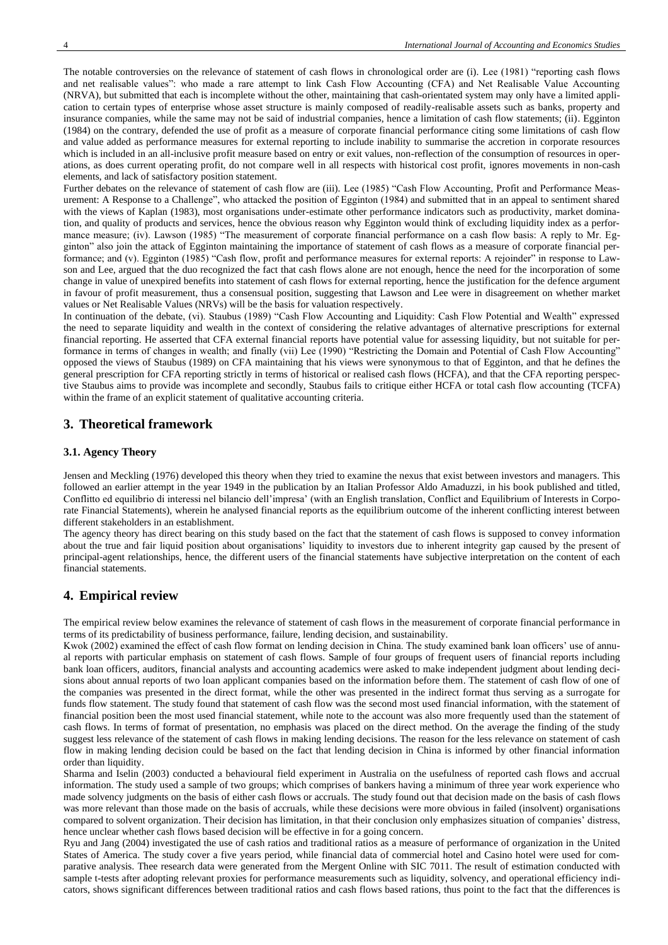The notable controversies on the relevance of statement of cash flows in chronological order are (i). Lee (1981) "reporting cash flows and net realisable values": who made a rare attempt to link Cash Flow Accounting (CFA) and Net Realisable Value Accounting (NRVA), but submitted that each is incomplete without the other, maintaining that cash-orientated system may only have a limited application to certain types of enterprise whose asset structure is mainly composed of readily-realisable assets such as banks, property and insurance companies, while the same may not be said of industrial companies, hence a limitation of cash flow statements; (ii). Egginton (1984) on the contrary, defended the use of profit as a measure of corporate financial performance citing some limitations of cash flow and value added as performance measures for external reporting to include inability to summarise the accretion in corporate resources which is included in an all-inclusive profit measure based on entry or exit values, non-reflection of the consumption of resources in operations, as does current operating profit, do not compare well in all respects with historical cost profit, ignores movements in non-cash elements, and lack of satisfactory position statement.

Further debates on the relevance of statement of cash flow are (iii). Lee (1985) "Cash Flow Accounting, Profit and Performance Measurement: A Response to a Challenge", who attacked the position of Egginton (1984) and submitted that in an appeal to sentiment shared with the views of Kaplan (1983), most organisations under-estimate other performance indicators such as productivity, market domination, and quality of products and services, hence the obvious reason why Egginton would think of excluding liquidity index as a performance measure; (iv). Lawson (1985) "The measurement of corporate financial performance on a cash flow basis: A reply to Mr. Egginton" also join the attack of Egginton maintaining the importance of statement of cash flows as a measure of corporate financial performance; and (v). Egginton (1985) "Cash flow, profit and performance measures for external reports: A rejoinder" in response to Lawson and Lee, argued that the duo recognized the fact that cash flows alone are not enough, hence the need for the incorporation of some change in value of unexpired benefits into statement of cash flows for external reporting, hence the justification for the defence argument in favour of profit measurement, thus a consensual position, suggesting that Lawson and Lee were in disagreement on whether market values or Net Realisable Values (NRVs) will be the basis for valuation respectively.

In continuation of the debate, (vi). Staubus (1989) "Cash Flow Accounting and Liquidity: Cash Flow Potential and Wealth" expressed the need to separate liquidity and wealth in the context of considering the relative advantages of alternative prescriptions for external financial reporting. He asserted that CFA external financial reports have potential value for assessing liquidity, but not suitable for performance in terms of changes in wealth; and finally (vii) Lee (1990) "Restricting the Domain and Potential of Cash Flow Accounting" opposed the views of Staubus (1989) on CFA maintaining that his views were synonymous to that of Egginton, and that he defines the general prescription for CFA reporting strictly in terms of historical or realised cash flows (HCFA), and that the CFA reporting perspective Staubus aims to provide was incomplete and secondly, Staubus fails to critique either HCFA or total cash flow accounting (TCFA) within the frame of an explicit statement of qualitative accounting criteria.

## **3. Theoretical framework**

#### **3.1. Agency Theory**

Jensen and Meckling (1976) developed this theory when they tried to examine the nexus that exist between investors and managers. This followed an earlier attempt in the year 1949 in the publication by an Italian Professor Aldo Amaduzzi, in his book published and titled, Conflitto ed equilibrio di interessi nel bilancio dell'impresa' (with an English translation, Conflict and Equilibrium of Interests in Corporate Financial Statements), wherein he analysed financial reports as the equilibrium outcome of the inherent conflicting interest between different stakeholders in an establishment.

The agency theory has direct bearing on this study based on the fact that the statement of cash flows is supposed to convey information about the true and fair liquid position about organisations' liquidity to investors due to inherent integrity gap caused by the present of principal-agent relationships, hence, the different users of the financial statements have subjective interpretation on the content of each financial statements.

## **4. Empirical review**

The empirical review below examines the relevance of statement of cash flows in the measurement of corporate financial performance in terms of its predictability of business performance, failure, lending decision, and sustainability.

Kwok (2002) examined the effect of cash flow format on lending decision in China. The study examined bank loan officers' use of annual reports with particular emphasis on statement of cash flows. Sample of four groups of frequent users of financial reports including bank loan officers, auditors, financial analysts and accounting academics were asked to make independent judgment about lending decisions about annual reports of two loan applicant companies based on the information before them. The statement of cash flow of one of the companies was presented in the direct format, while the other was presented in the indirect format thus serving as a surrogate for funds flow statement. The study found that statement of cash flow was the second most used financial information, with the statement of financial position been the most used financial statement, while note to the account was also more frequently used than the statement of cash flows. In terms of format of presentation, no emphasis was placed on the direct method. On the average the finding of the study suggest less relevance of the statement of cash flows in making lending decisions. The reason for the less relevance on statement of cash flow in making lending decision could be based on the fact that lending decision in China is informed by other financial information order than liquidity.

Sharma and Iselin (2003) conducted a behavioural field experiment in Australia on the usefulness of reported cash flows and accrual information. The study used a sample of two groups; which comprises of bankers having a minimum of three year work experience who made solvency judgments on the basis of either cash flows or accruals. The study found out that decision made on the basis of cash flows was more relevant than those made on the basis of accruals, while these decisions were more obvious in failed (insolvent) organisations compared to solvent organization. Their decision has limitation, in that their conclusion only emphasizes situation of companies' distress, hence unclear whether cash flows based decision will be effective in for a going concern.

Ryu and Jang (2004) investigated the use of cash ratios and traditional ratios as a measure of performance of organization in the United States of America. The study cover a five years period, while financial data of commercial hotel and Casino hotel were used for comparative analysis. Thee research data were generated from the Mergent Online with SIC 7011. The result of estimation conducted with sample t-tests after adopting relevant proxies for performance measurements such as liquidity, solvency, and operational efficiency indicators, shows significant differences between traditional ratios and cash flows based rations, thus point to the fact that the differences is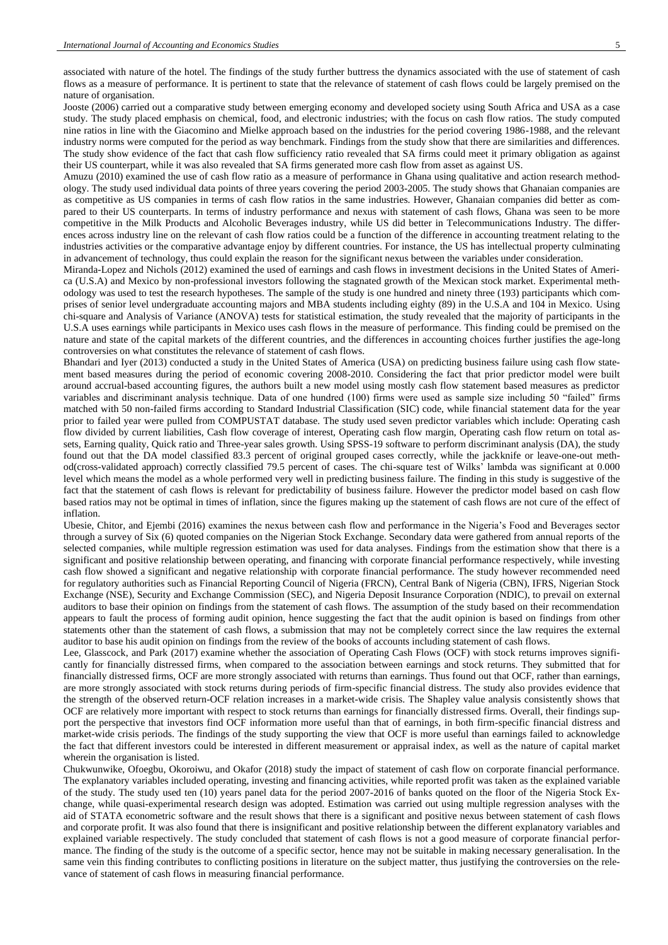associated with nature of the hotel. The findings of the study further buttress the dynamics associated with the use of statement of cash flows as a measure of performance. It is pertinent to state that the relevance of statement of cash flows could be largely premised on the nature of organisation.

Jooste (2006) carried out a comparative study between emerging economy and developed society using South Africa and USA as a case study. The study placed emphasis on chemical, food, and electronic industries; with the focus on cash flow ratios. The study computed nine ratios in line with the Giacomino and Mielke approach based on the industries for the period covering 1986-1988, and the relevant industry norms were computed for the period as way benchmark. Findings from the study show that there are similarities and differences. The study show evidence of the fact that cash flow sufficiency ratio revealed that SA firms could meet it primary obligation as against their US counterpart, while it was also revealed that SA firms generated more cash flow from asset as against US.

Amuzu (2010) examined the use of cash flow ratio as a measure of performance in Ghana using qualitative and action research methodology. The study used individual data points of three years covering the period 2003-2005. The study shows that Ghanaian companies are as competitive as US companies in terms of cash flow ratios in the same industries. However, Ghanaian companies did better as compared to their US counterparts. In terms of industry performance and nexus with statement of cash flows, Ghana was seen to be more competitive in the Milk Products and Alcoholic Beverages industry, while US did better in Telecommunications Industry. The differences across industry line on the relevant of cash flow ratios could be a function of the difference in accounting treatment relating to the industries activities or the comparative advantage enjoy by different countries. For instance, the US has intellectual property culminating in advancement of technology, thus could explain the reason for the significant nexus between the variables under consideration.

Miranda-Lopez and Nichols (2012) examined the used of earnings and cash flows in investment decisions in the United States of America (U.S.A) and Mexico by non-professional investors following the stagnated growth of the Mexican stock market. Experimental methodology was used to test the research hypotheses. The sample of the study is one hundred and ninety three (193) participants which comprises of senior level undergraduate accounting majors and MBA students including eighty (89) in the U.S.A and 104 in Mexico. Using chi-square and Analysis of Variance (ANOVA) tests for statistical estimation, the study revealed that the majority of participants in the U.S.A uses earnings while participants in Mexico uses cash flows in the measure of performance. This finding could be premised on the nature and state of the capital markets of the different countries, and the differences in accounting choices further justifies the age-long controversies on what constitutes the relevance of statement of cash flows.

Bhandari and Iyer (2013) conducted a study in the United States of America (USA) on predicting business failure using cash flow statement based measures during the period of economic covering 2008-2010. Considering the fact that prior predictor model were built around accrual-based accounting figures, the authors built a new model using mostly cash flow statement based measures as predictor variables and discriminant analysis technique. Data of one hundred (100) firms were used as sample size including 50 "failed" firms matched with 50 non-failed firms according to Standard Industrial Classification (SIC) code, while financial statement data for the year prior to failed year were pulled from COMPUSTAT database. The study used seven predictor variables which include: Operating cash flow divided by current liabilities, Cash flow coverage of interest, Operating cash flow margin, Operating cash flow return on total assets, Earning quality, Quick ratio and Three-year sales growth. Using SPSS-19 software to perform discriminant analysis (DA), the study found out that the DA model classified 83.3 percent of original grouped cases correctly, while the jackknife or leave-one-out method(cross-validated approach) correctly classified 79.5 percent of cases. The chi-square test of Wilks' lambda was significant at 0.000 level which means the model as a whole performed very well in predicting business failure. The finding in this study is suggestive of the fact that the statement of cash flows is relevant for predictability of business failure. However the predictor model based on cash flow based ratios may not be optimal in times of inflation, since the figures making up the statement of cash flows are not cure of the effect of inflation.

Ubesie, Chitor, and Ejembi (2016) examines the nexus between cash flow and performance in the Nigeria's Food and Beverages sector through a survey of Six (6) quoted companies on the Nigerian Stock Exchange. Secondary data were gathered from annual reports of the selected companies, while multiple regression estimation was used for data analyses. Findings from the estimation show that there is a significant and positive relationship between operating, and financing with corporate financial performance respectively, while investing cash flow showed a significant and negative relationship with corporate financial performance. The study however recommended need for regulatory authorities such as Financial Reporting Council of Nigeria (FRCN), Central Bank of Nigeria (CBN), IFRS, Nigerian Stock Exchange (NSE), Security and Exchange Commission (SEC), and Nigeria Deposit Insurance Corporation (NDIC), to prevail on external auditors to base their opinion on findings from the statement of cash flows. The assumption of the study based on their recommendation appears to fault the process of forming audit opinion, hence suggesting the fact that the audit opinion is based on findings from other statements other than the statement of cash flows, a submission that may not be completely correct since the law requires the external auditor to base his audit opinion on findings from the review of the books of accounts including statement of cash flows.

Lee, Glasscock, and Park (2017) examine whether the association of Operating Cash Flows (OCF) with stock returns improves significantly for financially distressed firms, when compared to the association between earnings and stock returns. They submitted that for financially distressed firms, OCF are more strongly associated with returns than earnings. Thus found out that OCF, rather than earnings, are more strongly associated with stock returns during periods of firm-specific financial distress. The study also provides evidence that the strength of the observed return-OCF relation increases in a market-wide crisis. The Shapley value analysis consistently shows that OCF are relatively more important with respect to stock returns than earnings for financially distressed firms. Overall, their findings support the perspective that investors find OCF information more useful than that of earnings, in both firm-specific financial distress and market-wide crisis periods. The findings of the study supporting the view that OCF is more useful than earnings failed to acknowledge the fact that different investors could be interested in different measurement or appraisal index, as well as the nature of capital market wherein the organisation is listed.

Chukwunwike, Ofoegbu, Okoroiwu, and Okafor (2018) study the impact of statement of cash flow on corporate financial performance. The explanatory variables included operating, investing and financing activities, while reported profit was taken as the explained variable of the study. The study used ten (10) years panel data for the period 2007-2016 of banks quoted on the floor of the Nigeria Stock Exchange, while quasi-experimental research design was adopted. Estimation was carried out using multiple regression analyses with the aid of STATA econometric software and the result shows that there is a significant and positive nexus between statement of cash flows and corporate profit. It was also found that there is insignificant and positive relationship between the different explanatory variables and explained variable respectively. The study concluded that statement of cash flows is not a good measure of corporate financial performance. The finding of the study is the outcome of a specific sector, hence may not be suitable in making necessary generalisation. In the same vein this finding contributes to conflicting positions in literature on the subject matter, thus justifying the controversies on the relevance of statement of cash flows in measuring financial performance.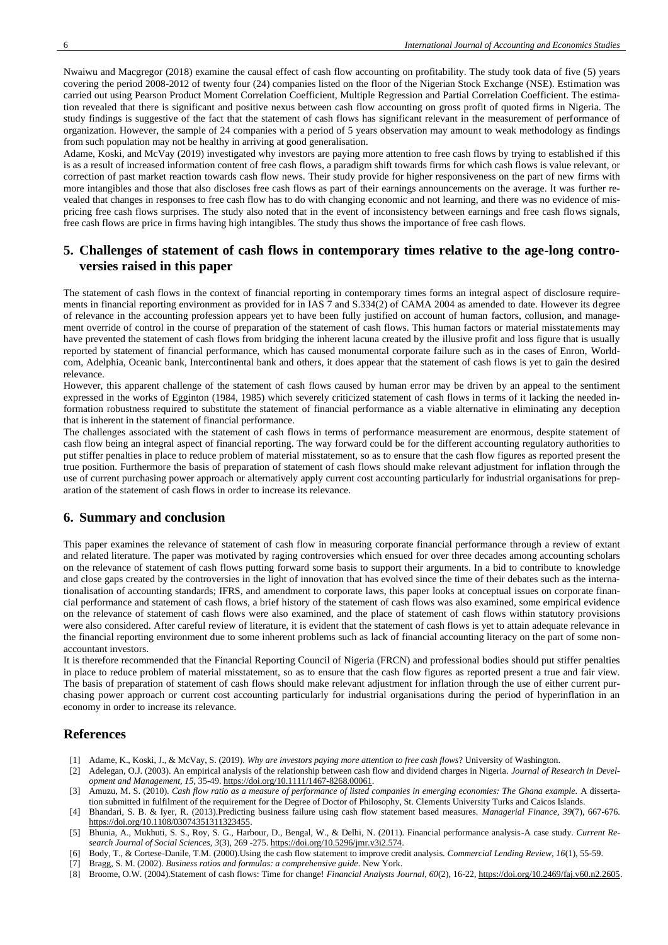Nwaiwu and Macgregor (2018) examine the causal effect of cash flow accounting on profitability. The study took data of five (5) years covering the period 2008-2012 of twenty four (24) companies listed on the floor of the Nigerian Stock Exchange (NSE). Estimation was carried out using Pearson Product Moment Correlation Coefficient, Multiple Regression and Partial Correlation Coefficient. The estimation revealed that there is significant and positive nexus between cash flow accounting on gross profit of quoted firms in Nigeria. The study findings is suggestive of the fact that the statement of cash flows has significant relevant in the measurement of performance of organization. However, the sample of 24 companies with a period of 5 years observation may amount to weak methodology as findings from such population may not be healthy in arriving at good generalisation.

Adame, Koski, and McVay (2019) investigated why investors are paying more attention to free cash flows by trying to established if this is as a result of increased information content of free cash flows, a paradigm shift towards firms for which cash flows is value relevant, or correction of past market reaction towards cash flow news. Their study provide for higher responsiveness on the part of new firms with more intangibles and those that also discloses free cash flows as part of their earnings announcements on the average. It was further revealed that changes in responses to free cash flow has to do with changing economic and not learning, and there was no evidence of mispricing free cash flows surprises. The study also noted that in the event of inconsistency between earnings and free cash flows signals, free cash flows are price in firms having high intangibles. The study thus shows the importance of free cash flows.

## **5. Challenges of statement of cash flows in contemporary times relative to the age-long controversies raised in this paper**

The statement of cash flows in the context of financial reporting in contemporary times forms an integral aspect of disclosure requirements in financial reporting environment as provided for in IAS 7 and S.334(2) of CAMA 2004 as amended to date. However its degree of relevance in the accounting profession appears yet to have been fully justified on account of human factors, collusion, and management override of control in the course of preparation of the statement of cash flows. This human factors or material misstatements may have prevented the statement of cash flows from bridging the inherent lacuna created by the illusive profit and loss figure that is usually reported by statement of financial performance, which has caused monumental corporate failure such as in the cases of Enron, Worldcom, Adelphia, Oceanic bank, Intercontinental bank and others, it does appear that the statement of cash flows is yet to gain the desired relevance.

However, this apparent challenge of the statement of cash flows caused by human error may be driven by an appeal to the sentiment expressed in the works of Egginton (1984, 1985) which severely criticized statement of cash flows in terms of it lacking the needed information robustness required to substitute the statement of financial performance as a viable alternative in eliminating any deception that is inherent in the statement of financial performance.

The challenges associated with the statement of cash flows in terms of performance measurement are enormous, despite statement of cash flow being an integral aspect of financial reporting. The way forward could be for the different accounting regulatory authorities to put stiffer penalties in place to reduce problem of material misstatement, so as to ensure that the cash flow figures as reported present the true position. Furthermore the basis of preparation of statement of cash flows should make relevant adjustment for inflation through the use of current purchasing power approach or alternatively apply current cost accounting particularly for industrial organisations for preparation of the statement of cash flows in order to increase its relevance.

## **6. Summary and conclusion**

This paper examines the relevance of statement of cash flow in measuring corporate financial performance through a review of extant and related literature. The paper was motivated by raging controversies which ensued for over three decades among accounting scholars on the relevance of statement of cash flows putting forward some basis to support their arguments. In a bid to contribute to knowledge and close gaps created by the controversies in the light of innovation that has evolved since the time of their debates such as the internationalisation of accounting standards; IFRS, and amendment to corporate laws, this paper looks at conceptual issues on corporate financial performance and statement of cash flows, a brief history of the statement of cash flows was also examined, some empirical evidence on the relevance of statement of cash flows were also examined, and the place of statement of cash flows within statutory provisions were also considered. After careful review of literature, it is evident that the statement of cash flows is yet to attain adequate relevance in the financial reporting environment due to some inherent problems such as lack of financial accounting literacy on the part of some nonaccountant investors.

It is therefore recommended that the Financial Reporting Council of Nigeria (FRCN) and professional bodies should put stiffer penalties in place to reduce problem of material misstatement, so as to ensure that the cash flow figures as reported present a true and fair view. The basis of preparation of statement of cash flows should make relevant adjustment for inflation through the use of either current purchasing power approach or current cost accounting particularly for industrial organisations during the period of hyperinflation in an economy in order to increase its relevance.

## **References**

- [1] Adame, K., Koski, J., & McVay, S. (2019). *Why are investors paying more attention to free cash flows*? University of Washington.
- [2] Adelegan, O.J. (2003). An empirical analysis of the relationship between cash flow and dividend charges in Nigeria. *Journal of Research in Development and Management, 15*, 35-49. [https://doi.org/10.1111/1467-8268.00061.](https://doi.org/10.1111/1467-8268.00061)
- [3] Amuzu, M. S. (2010). *Cash flow ratio as a measure of performance of listed companies in emerging economies: The Ghana example.* A dissertation submitted in fulfilment of the requirement for the Degree of Doctor of Philosophy, St. Clements University Turks and Caicos Islands.
- [4] Bhandari, S. B. & Iyer, R. (2013).Predicting business failure using cash flow statement based measures. *Managerial Finance, 39*(7), 667-676. [https://doi.org/10.1108/03074351311323455.](https://doi.org/10.1108/03074351311323455)
- [5] Bhunia, A., Mukhuti, S. S., Roy, S. G., Harbour, D., Bengal, W., & Delhi, N. (2011). Financial performance analysis-A case study. *Current Research Journal of Social Sciences*, *3*(3), 269 -275. [https://doi.org/10.5296/jmr.v3i2.574.](https://doi.org/10.5296/jmr.v3i2.574)
- [6] Body, T., & Cortese-Danile, T.M. (2000).Using the cash flow statement to improve credit analysis. *Commercial Lending Review, 16*(1), 55-59.
- [7] Bragg, S. M. (2002). *Business ratios and formulas: a comprehensive guide*. New York.
- [8] Broome, O.W. (2004).Statement of cash flows: Time for change! *Financial Analysts Journal, 60*(2), 16-22, [https://doi.org/10.2469/faj.v60.n2.2605.](https://doi.org/10.2469/faj.v60.n2.2605)